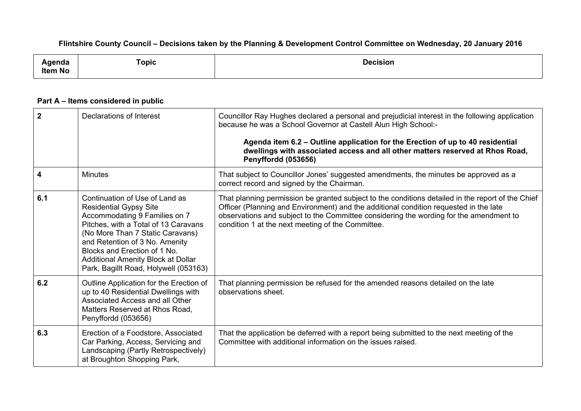## Flintshire County Council - Decisions taken by the Planning & Development Control Committee on Wednesday, 20 January 2016

| 'llua          | Topic<br>$\sim$ | <b>Decision</b> |
|----------------|-----------------|-----------------|
| . .<br>ltem No |                 |                 |

## **Part A – Items considered in public**

| $\overline{2}$ | Declarations of Interest                                                                                                                                                                                                                                                                                                      | Councillor Ray Hughes declared a personal and prejudicial interest in the following application<br>because he was a School Governor at Castell Alun High School:-<br>Agenda item 6.2 – Outline application for the Erection of up to 40 residential<br>dwellings with associated access and all other matters reserved at Rhos Road,<br>Penyffordd (053656) |
|----------------|-------------------------------------------------------------------------------------------------------------------------------------------------------------------------------------------------------------------------------------------------------------------------------------------------------------------------------|-------------------------------------------------------------------------------------------------------------------------------------------------------------------------------------------------------------------------------------------------------------------------------------------------------------------------------------------------------------|
| 4              | <b>Minutes</b>                                                                                                                                                                                                                                                                                                                | That subject to Councillor Jones' suggested amendments, the minutes be approved as a<br>correct record and signed by the Chairman.                                                                                                                                                                                                                          |
| 6.1            | Continuation of Use of Land as<br><b>Residential Gypsy Site</b><br>Accommodating 9 Families on 7<br>Pitches, with a Total of 13 Caravans<br>(No More Than 7 Static Caravans)<br>and Retention of 3 No. Amenity<br>Blocks and Erection of 1 No.<br>Additional Amenity Block at Dollar<br>Park, Bagillt Road, Holywell (053163) | That planning permission be granted subject to the conditions detailed in the report of the Chief<br>Officer (Planning and Environment) and the additional condition requested in the late<br>observations and subject to the Committee considering the wording for the amendment to<br>condition 1 at the next meeting of the Committee.                   |
| 6.2            | Outline Application for the Erection of<br>up to 40 Residential Dwellings with<br>Associated Access and all Other<br>Matters Reserved at Rhos Road,<br>Penyffordd (053656)                                                                                                                                                    | That planning permission be refused for the amended reasons detailed on the late<br>observations sheet.                                                                                                                                                                                                                                                     |
| 6.3            | Erection of a Foodstore, Associated<br>Car Parking, Access, Servicing and<br>Landscaping (Partly Retrospectively)<br>at Broughton Shopping Park,                                                                                                                                                                              | That the application be deferred with a report being submitted to the next meeting of the<br>Committee with additional information on the issues raised.                                                                                                                                                                                                    |